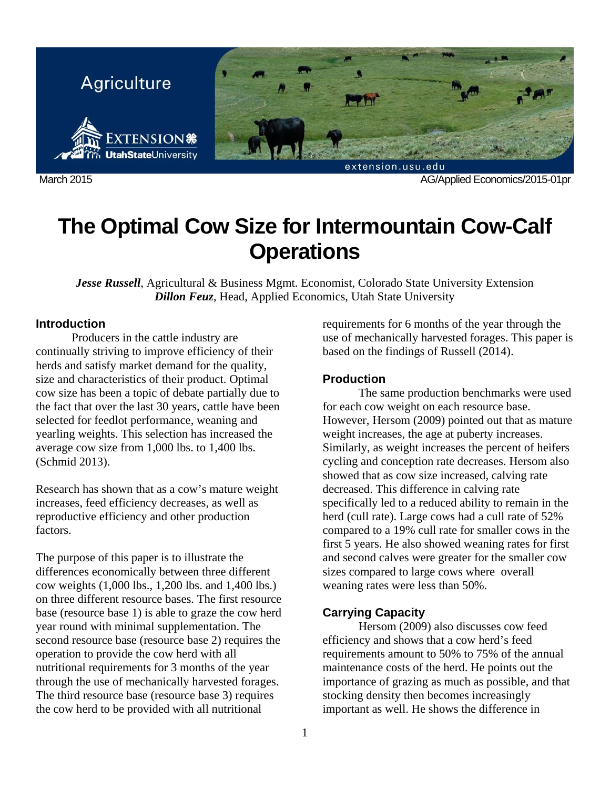

March 2015 AG/Applied Economics/2015-01pr

# **The Optimal Cow Size for Intermountain Cow-Calf Operations**

*Jesse Russell*, Agricultural & Business Mgmt. Economist, Colorado State University Extension *Dillon Feuz*, Head, Applied Economics, Utah State University

# **Introduction**

Producers in the cattle industry are continually striving to improve efficiency of their herds and satisfy market demand for the quality, size and characteristics of their product. Optimal cow size has been a topic of debate partially due to the fact that over the last 30 years, cattle have been selected for feedlot performance, weaning and yearling weights. This selection has increased the average cow size from 1,000 lbs. to 1,400 lbs. (Schmid 2013).

Research has shown that as a cow's mature weight increases, feed efficiency decreases, as well as reproductive efficiency and other production factors.

The purpose of this paper is to illustrate the differences economically between three different cow weights (1,000 lbs., 1,200 lbs. and 1,400 lbs.) on three different resource bases. The first resource base (resource base 1) is able to graze the cow herd year round with minimal supplementation. The second resource base (resource base 2) requires the operation to provide the cow herd with all nutritional requirements for 3 months of the year through the use of mechanically harvested forages. The third resource base (resource base 3) requires the cow herd to be provided with all nutritional

requirements for 6 months of the year through the use of mechanically harvested forages. This paper is based on the findings of Russell (2014).

## **Production**

 The same production benchmarks were used for each cow weight on each resource base. However, Hersom (2009) pointed out that as mature weight increases, the age at puberty increases. Similarly, as weight increases the percent of heifers cycling and conception rate decreases. Hersom also showed that as cow size increased, calving rate decreased. This difference in calving rate specifically led to a reduced ability to remain in the herd (cull rate). Large cows had a cull rate of 52% compared to a 19% cull rate for smaller cows in the first 5 years. He also showed weaning rates for first and second calves were greater for the smaller cow sizes compared to large cows where overall weaning rates were less than 50%.

# **Carrying Capacity**

Hersom (2009) also discusses cow feed efficiency and shows that a cow herd's feed requirements amount to 50% to 75% of the annual maintenance costs of the herd. He points out the importance of grazing as much as possible, and that stocking density then becomes increasingly important as well. He shows the difference in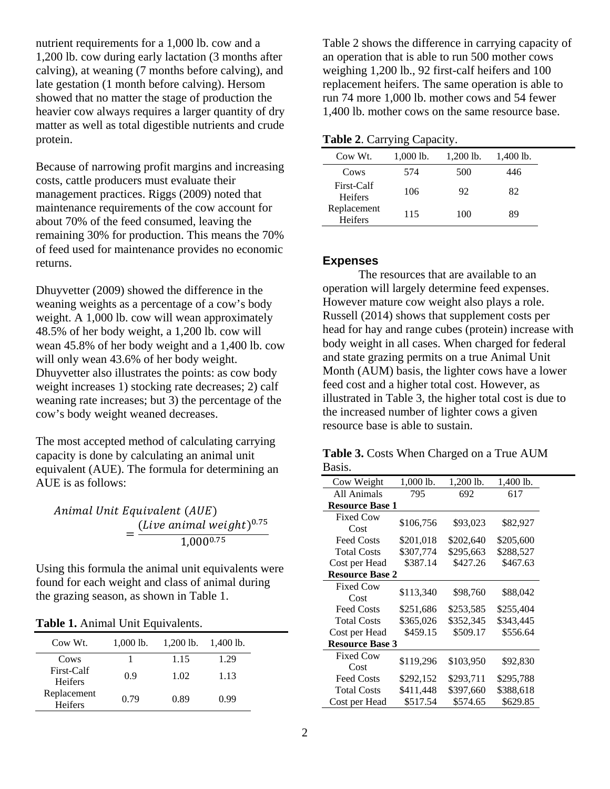nutrient requirements for a 1,000 lb. cow and a 1,200 lb. cow during early lactation (3 months after calving), at weaning (7 months before calving), and late gestation (1 month before calving). Hersom showed that no matter the stage of production the heavier cow always requires a larger quantity of dry matter as well as total digestible nutrients and crude protein.

Because of narrowing profit margins and increasing costs, cattle producers must evaluate their management practices. Riggs (2009) noted that maintenance requirements of the cow account for about 70% of the feed consumed, leaving the remaining 30% for production. This means the 70% of feed used for maintenance provides no economic returns.

Dhuyvetter (2009) showed the difference in the weaning weights as a percentage of a cow's body weight. A 1,000 lb. cow will wean approximately 48.5% of her body weight, a 1,200 lb. cow will wean 45.8% of her body weight and a 1,400 lb. cow will only wean 43.6% of her body weight. Dhuyvetter also illustrates the points: as cow body weight increases 1) stocking rate decreases; 2) calf weaning rate increases; but 3) the percentage of the cow's body weight weaned decreases.

The most accepted method of calculating carrying capacity is done by calculating an animal unit equivalent (AUE). The formula for determining an AUE is as follows:

Animal Unit Equivalent (AUE) (Live animal weight) $^{0.75}$  $=\frac{(200 \text{ million})}{1,000^{0.75}}$ 

Using this formula the animal unit equivalents were found for each weight and class of animal during the grazing season, as shown in Table 1.

| Table 1. Animal Unit Equivalents. |
|-----------------------------------|
|-----------------------------------|

| Cow Wt.                      | $1,000$ lb. | $1,200$ lb. | $1,400$ lb. |  |
|------------------------------|-------------|-------------|-------------|--|
| Cows                         |             | 1.15        | 1.29        |  |
| First-Calf<br><b>Heifers</b> | 0.9         | 1.02        | 1.13        |  |
| Replacement<br>Heifers       | 0.79        | 0.89        | 0.99        |  |

Table 2 shows the difference in carrying capacity of an operation that is able to run 500 mother cows weighing 1,200 lb., 92 first-calf heifers and 100 replacement heifers. The same operation is able to run 74 more 1,000 lb. mother cows and 54 fewer 1,400 lb. mother cows on the same resource base.

|  |  | Table 2. Carrying Capacity. |
|--|--|-----------------------------|
|--|--|-----------------------------|

| Cow Wt.                       | $1,000$ lb. | $1,200$ lb. | $1,400$ lb. |
|-------------------------------|-------------|-------------|-------------|
| Cows                          | 574         | 500         | 446         |
| First-Calf<br><b>Heifers</b>  | 106         | 92          | 82          |
| Replacement<br><b>Heifers</b> | 115         | 100         | 89          |

# **Expenses**

The resources that are available to an operation will largely determine feed expenses. However mature cow weight also plays a role. Russell (2014) shows that supplement costs per head for hay and range cubes (protein) increase with body weight in all cases. When charged for federal and state grazing permits on a true Animal Unit Month (AUM) basis, the lighter cows have a lower feed cost and a higher total cost. However, as illustrated in Table 3, the higher total cost is due to the increased number of lighter cows a given resource base is able to sustain.

**Table 3.** Costs When Charged on a True AUM Basis.

| Cow Weight             | $1,000$ lb. | $1,200$ lb. | 1,400 lb. |  |
|------------------------|-------------|-------------|-----------|--|
| All Animals            | 795         | 692         | 617       |  |
| <b>Resource Base 1</b> |             |             |           |  |
| <b>Fixed Cow</b>       |             |             |           |  |
| Cost                   | \$106,756   | \$93,023    | \$82,927  |  |
| <b>Feed Costs</b>      | \$201,018   | \$202,640   | \$205,600 |  |
| <b>Total Costs</b>     | \$307,774   | \$295,663   | \$288,527 |  |
| Cost per Head          | \$387.14    | \$427.26    | \$467.63  |  |
| <b>Resource Base 2</b> |             |             |           |  |
| <b>Fixed Cow</b>       |             |             |           |  |
| Cost                   | \$113,340   | \$98,760    | \$88,042  |  |
| <b>Feed Costs</b>      | \$251,686   | \$253,585   | \$255,404 |  |
| <b>Total Costs</b>     | \$365,026   | \$352,345   | \$343,445 |  |
| Cost per Head          | \$459.15    | \$509.17    | \$556.64  |  |
| <b>Resource Base 3</b> |             |             |           |  |
| <b>Fixed Cow</b>       |             |             |           |  |
| Cost                   | \$119,296   | \$103,950   | \$92,830  |  |
| <b>Feed Costs</b>      | \$292,152   | \$293,711   | \$295,788 |  |
| <b>Total Costs</b>     | \$411,448   | \$397,660   | \$388,618 |  |
| Cost per Head          | \$517.54    | \$574.65    | \$629.85  |  |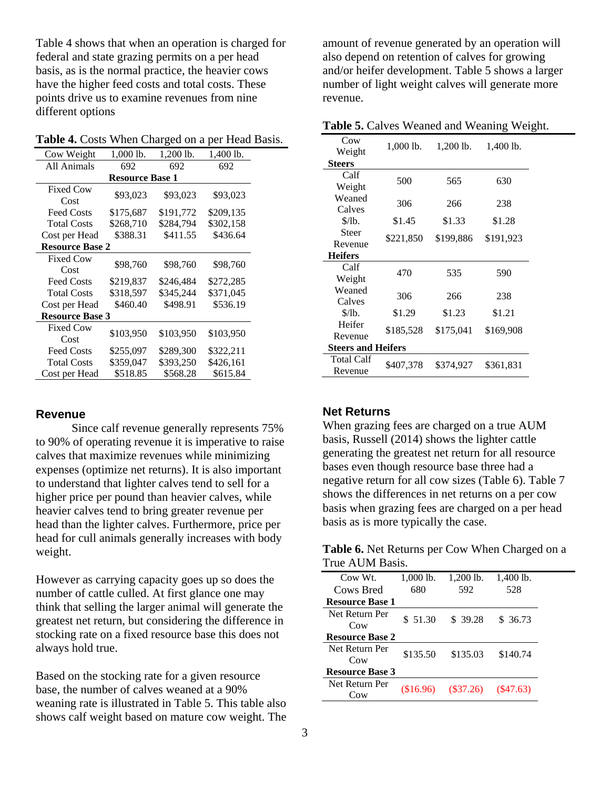Table 4 shows that when an operation is charged for federal and state grazing permits on a per head basis, as is the normal practice, the heavier cows have the higher feed costs and total costs. These points drive us to examine revenues from nine different options

**Table 4.** Costs When Charged on a per Head Basis.

| Cow Weight               | $1,000$ lb.            | $1,200$ lb. | 1,400 lb. |  |
|--------------------------|------------------------|-------------|-----------|--|
| All Animals              | 692                    | 692         | 692       |  |
|                          | <b>Resource Base 1</b> |             |           |  |
| <b>Fixed Cow</b><br>Cost | \$93,023               | \$93,023    | \$93,023  |  |
| <b>Feed Costs</b>        | \$175,687              | \$191,772   | \$209,135 |  |
| <b>Total Costs</b>       | \$268,710              | \$284,794   | \$302,158 |  |
| Cost per Head            | \$388.31               | \$411.55    | \$436.64  |  |
| <b>Resource Base 2</b>   |                        |             |           |  |
| <b>Fixed Cow</b><br>Cost | \$98,760               | \$98,760    | \$98,760  |  |
| <b>Feed Costs</b>        | \$219,837              | \$246,484   | \$272,285 |  |
| <b>Total Costs</b>       | \$318,597              | \$345,244   | \$371,045 |  |
| Cost per Head            | \$460.40               | \$498.91    | \$536.19  |  |
| <b>Resource Base 3</b>   |                        |             |           |  |
| <b>Fixed Cow</b><br>Cost | \$103,950              | \$103,950   | \$103,950 |  |
| <b>Feed Costs</b>        | \$255,097              | \$289,300   | \$322,211 |  |
| <b>Total Costs</b>       | \$359,047              | \$393,250   | \$426,161 |  |
| Cost per Head            | \$518.85               | \$568.28    | \$615.84  |  |

#### **Revenue**

Since calf revenue generally represents 75% to 90% of operating revenue it is imperative to raise calves that maximize revenues while minimizing expenses (optimize net returns). It is also important to understand that lighter calves tend to sell for a higher price per pound than heavier calves, while heavier calves tend to bring greater revenue per head than the lighter calves. Furthermore, price per head for cull animals generally increases with body weight.

However as carrying capacity goes up so does the number of cattle culled. At first glance one may think that selling the larger animal will generate the greatest net return, but considering the difference in stocking rate on a fixed resource base this does not always hold true.

Based on the stocking rate for a given resource base, the number of calves weaned at a 90% weaning rate is illustrated in Table 5. This table also shows calf weight based on mature cow weight. The

amount of revenue generated by an operation will also depend on retention of calves for growing and/or heifer development. Table 5 shows a larger number of light weight calves will generate more revenue.

**Table 5.** Calves Weaned and Weaning Weight.

| Cow<br>Weight             | 1,000 lb. | 1,200 lb. | 1,400 lb. |
|---------------------------|-----------|-----------|-----------|
| <b>Steers</b>             |           |           |           |
| Calf                      | 500       | 565       | 630       |
| Weight                    |           |           |           |
| Weaned                    | 306       | 266       | 238       |
| Calves                    |           |           |           |
| \$/lb.                    | \$1.45    | \$1.33    | \$1.28    |
| Steer                     | \$221,850 | \$199,886 | \$191,923 |
| Revenue                   |           |           |           |
| <b>Heifers</b>            |           |           |           |
| Calf                      | 470       | 535       | 590       |
| Weight                    |           |           |           |
| Weaned                    | 306       | 266       | 238       |
| Calves                    |           |           |           |
| \$/lb.                    | \$1.29    | \$1.23    | \$1.21    |
| Heifer                    | \$185,528 | \$175,041 | \$169,908 |
| Revenue                   |           |           |           |
| <b>Steers and Heifers</b> |           |           |           |
| Total Calf<br>Revenue     | \$407.378 | \$374,927 | \$361,831 |

## **Net Returns**

When grazing fees are charged on a true AUM basis, Russell (2014) shows the lighter cattle generating the greatest net return for all resource bases even though resource base three had a negative return for all cow sizes (Table 6). Table 7 shows the differences in net returns on a per cow basis when grazing fees are charged on a per head basis as is more typically the case.

**Table 6.** Net Returns per Cow When Charged on a True AUM Basis.

| Cow Wt.                | 1,000 lb. | $1,200$ lb. | 1,400 lb. |
|------------------------|-----------|-------------|-----------|
| Cows Bred              | 680       | 592         | 528       |
| <b>Resource Base 1</b> |           |             |           |
| Net Return Per         | \$ 51.30  | \$ 39.28    | \$ 36.73  |
| C <sub>0</sub>         |           |             |           |
| <b>Resource Base 2</b> |           |             |           |
| Net Return Per         | \$135.50  | \$135.03    | \$140.74  |
| C <sub>0</sub>         |           |             |           |
| <b>Resource Base 3</b> |           |             |           |
| Net Return Per         | (\$16.96) |             | (S47.63)  |
| Cow                    |           | $(\$37.26)$ |           |